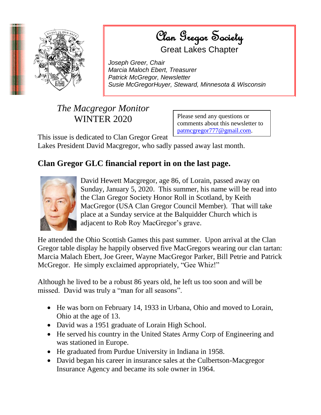

 $\mathcal{O}_{\mathcal{U}}$  a  $\mathcal{C}_{\mathcal{U}}$  or  $\mathcal{C}_{\mathcal{U}}$  of  $\mathcal{S}_{\mathcal{U}}$  and  $\mathcal{U}_{\mathcal{U}}$ Society **Clan Gregor Society** Great Lakes Chapter

*Joseph Greer, Chair Marcia Maloch Ebert, Treasurer Patrick McGregor, Newsletter Susie McGregorHuyer, Steward, Minnesota & Wisconsin*

## *The Macgregor Monitor* WINTER 2020

Please send any questions or comments about this newsletter to [patmcgregor777@gmail.com.](mailto:patmcgregor777@gmail.com)

This issue is dedicated to Clan Gregor Great

Lakes President David Macgregor, who sadly passed away last month.

## **Clan Gregor GLC financial report in on the last page.**



David Hewett Macgregor, age 86, of Lorain, passed away on Sunday, January 5, 2020. This summer, his name will be read into the Clan Gregor Society Honor Roll in Scotland, by Keith MacGregor (USA Clan Gregor Council Member). That will take place at a Sunday service at the Balquidder Church which is adjacent to Rob Roy MacGregor's grave.

He attended the Ohio Scottish Games this past summer. Upon arrival at the Clan Gregor table display he happily observed five MacGregors wearing our clan tartan: Marcia Malach Ebert, Joe Greer, Wayne MacGregor Parker, Bill Petrie and Patrick McGregor. He simply exclaimed appropriately, "Gee Whiz!"

Although he lived to be a robust 86 years old, he left us too soon and will be missed. David was truly a "man for all seasons".

- He was born on February 14, 1933 in Urbana, Ohio and moved to Lorain, Ohio at the age of 13.
- David was a 1951 graduate of Lorain High School.
- He served his country in the United States Army Corp of Engineering and was stationed in Europe.
- He graduated from Purdue University in Indiana in 1958.
- David began his career in insurance sales at the Culbertson-Macgregor Insurance Agency and became its sole owner in 1964.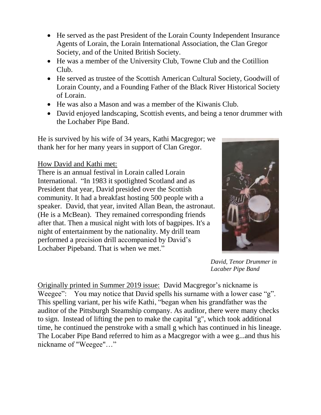- He served as the past President of the Lorain County Independent Insurance Agents of Lorain, the Lorain International Association, the Clan Gregor Society, and of the United British Society.
- He was a member of the University Club, Towne Club and the Cotillion Club.
- He served as trustee of the Scottish American Cultural Society, Goodwill of Lorain County, and a Founding Father of the Black River Historical Society of Lorain.
- He was also a Mason and was a member of the Kiwanis Club.
- David enjoyed landscaping, Scottish events, and being a tenor drummer with the Lochaber Pipe Band.

He is survived by his wife of 34 years, Kathi Macgregor; we thank her for her many years in support of Clan Gregor.

## How David and Kathi met:

There is an annual festival in Lorain called Lorain International. "In 1983 it spotlighted Scotland and as President that year, David presided over the Scottish community. It had a breakfast hosting 500 people with a speaker. David, that year, invited Allan Bean, the astronaut. (He is a McBean). They remained corresponding friends after that. Then a musical night with lots of bagpipes. It's a night of entertainment by the nationality. My drill team performed a precision drill accompanied by David's Lochaber Pipeband. That is when we met."



*David, Tenor Drummer in Lacaber Pipe Band*

Originally printed in Summer 2019 issue: David Macgregor's nickname is Weegee": You may notice that David spells his surname with a lower case "g". This spelling variant, per his wife Kathi, "began when his grandfather was the auditor of the Pittsburgh Steamship company. As auditor, there were many checks to sign. Instead of lifting the pen to make the capital "g", which took additional time, he continued the penstroke with a small g which has continued in his lineage. The Locaber Pipe Band referred to him as a Macgregor with a wee g...and thus his nickname of "Weegee"…"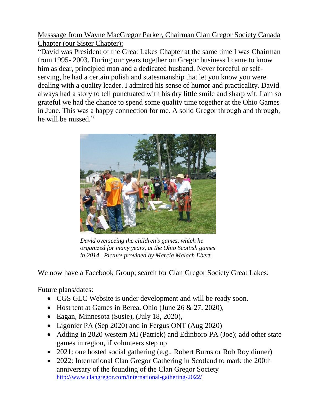Messsage from Wayne MacGregor Parker, Chairman Clan Gregor Society Canada Chapter (our Sister Chapter):

"David was President of the Great Lakes Chapter at the same time I was Chairman from 1995- 2003. During our years together on Gregor business I came to know him as dear, principled man and a dedicated husband. Never forceful or selfserving, he had a certain polish and statesmanship that let you know you were dealing with a quality leader. I admired his sense of humor and practicality. David always had a story to tell punctuated with his dry little smile and sharp wit. I am so grateful we had the chance to spend some quality time together at the Ohio Games in June. This was a happy connection for me. A solid Gregor through and through, he will be missed."



*David overseeing the children's games, which he organized for many years, at the Ohio Scottish games in 2014. Picture provided by Marcia Malach Ebert.*

We now have a Facebook Group; search for Clan Gregor Society Great Lakes.

Future plans/dates:

- CGS GLC Website is under development and will be ready soon.
- Host tent at Games in Berea, Ohio (June 26  $& 27, 2020$ ),
- Eagan, Minnesota (Susie), (July 18, 2020),
- Ligonier PA (Sep 2020) and in Fergus ONT (Aug 2020)
- Adding in 2020 western MI (Patrick) and Edinboro PA (Joe); add other state games in region, if volunteers step up
- 2021: one hosted social gathering (e.g., Robert Burns or Rob Roy dinner)
- 2022: International Clan Gregor Gathering in Scotland to mark the 200th anniversary of the founding of the Clan Gregor Society <http://www.clangregor.com/international-gathering-2022/>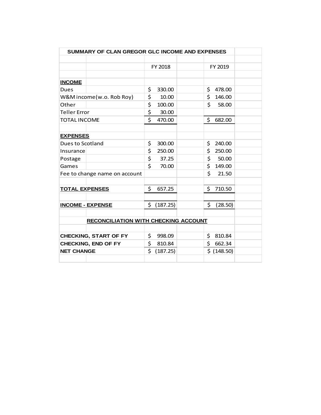| SUMMARY OF CLAN GREGOR GLC INCOME AND EXPENSES |                   |               |  |
|------------------------------------------------|-------------------|---------------|--|
|                                                |                   |               |  |
|                                                | FY 2018           | FY 2019       |  |
|                                                |                   |               |  |
| <b>INCOME</b>                                  |                   |               |  |
| Dues                                           | \$<br>330.00      | \$<br>478.00  |  |
| W&M income(w.o. Rob Roy)                       | \$<br>10.00       | \$<br>146.00  |  |
| Other                                          | \$<br>100.00      | \$<br>58.00   |  |
| <b>Teller Error</b>                            | \$<br>30.00       |               |  |
| <b>TOTAL INCOME</b>                            | $\zeta$<br>470.00 | \$682.00      |  |
|                                                |                   |               |  |
| <b>EXPENSES</b>                                |                   |               |  |
| Dues to Scotland                               | \$<br>300.00      | \$<br>240.00  |  |
| Insurance                                      | \$<br>250.00      | \$<br>250.00  |  |
| Postage                                        | \$<br>37.25       | \$<br>50.00   |  |
| Games                                          | \$<br>70.00       | \$<br>149.00  |  |
| Fee to change name on account                  |                   | \$<br>21.50   |  |
|                                                |                   |               |  |
| <b>TOTAL EXPENSES</b>                          | \$<br>657.25      | \$<br>710.50  |  |
|                                                |                   |               |  |
| <b>INCOME - EXPENSE</b>                        | \$<br>(187.25)    | \$<br>(28.50) |  |
|                                                |                   |               |  |
| <b>RECONCILIATION WITH CHECKING ACCOUNT</b>    |                   |               |  |
|                                                |                   |               |  |
| <b>CHECKING, START OF FY</b>                   | \$<br>998.09      | \$<br>810.84  |  |
| <b>CHECKING, END OF FY</b>                     | \$<br>810.84      | \$<br>662.34  |  |
| <b>NET CHANGE</b>                              | \$<br>(187.25)    | \$ (148.50)   |  |
|                                                |                   |               |  |